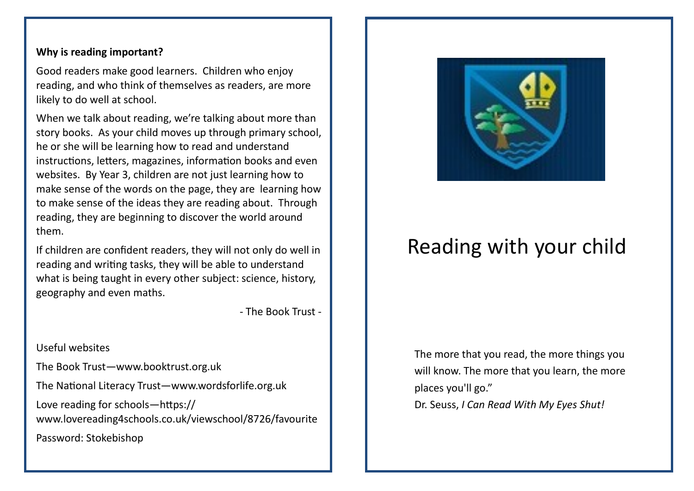## **Why is reading important?**

Good readers make good learners. Children who enjoy reading, and who think of themselves as readers, are more likely to do well at school.

When we talk about reading, we're talking about more than story books. As your child moves up through primary school, he or she will be learning how to read and understand instructions, letters, magazines, information books and even websites. By Year 3, children are not just learning how to make sense of the words on the page, they are learning how to make sense of the ideas they are reading about. Through reading, they are beginning to discover the world around them.

If children are confident readers, they will not only do well in reading and writing tasks, they will be able to understand what is being taught in every other subject: science, history, geography and even maths.

- The Book Trust -

Useful websites

The Book Trust—www.booktrust.org.uk

The National Literacy Trust—www.wordsforlife.org.uk

Love reading for schools—https:// www.lovereading4schools.co.uk/viewschool/8726/favourite Password: Stokebishop



## Reading with your child

The more that you read, the more things you will know. The more that you learn, the more places you'll go."

[Dr. Seuss,](http://www.goodreads.com/author/show/61105.Dr_Seuss) *[I Can Read With My Eyes Shut!](http://www.goodreads.com/work/quotes/2333951)*